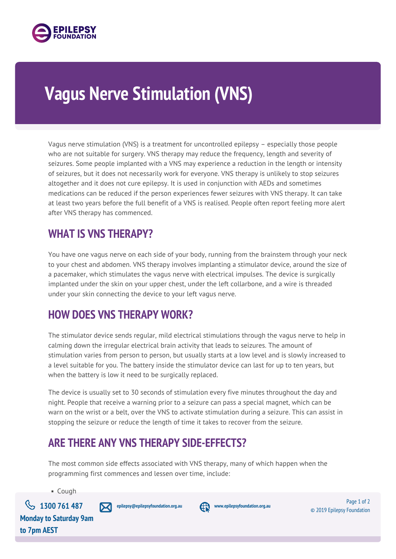

## **Vagus Nerve Stimulation (VNS)**

Vagus nerve stimulation (VNS) is a treatment for uncontrolled epilepsy – especially those people who are not suitable for surgery. VNS therapy may reduce the frequency, length and severity of seizures. Some people implanted with a VNS may experience a reduction in the length or intensity of seizures, but it does not necessarily work for everyone. VNS therapy is unlikely to stop seizures altogether and it does not cure epilepsy. It is used in conjunction with AEDs and sometimes medications can be reduced if the person experiences fewer seizures with VNS therapy. It can take at least two years before the full benefit of a VNS is realised. People often report feeling more alert after VNS therapy has commenced.

## **WHAT IS VNS THERAPY?**

You have one vagus nerve on each side of your body, running from the brainstem through your neck to your chest and abdomen. VNS therapy involves implanting a stimulator device, around the size of a pacemaker, which stimulates the vagus nerve with electrical impulses. The device is surgically implanted under the skin on your upper chest, under the left collarbone, and a wire is threaded under your skin connecting the device to your left vagus nerve.

## **HOW DOES VNS THERAPY WORK?**

The stimulator device sends regular, mild electrical stimulations through the vagus nerve to help in calming down the irregular electrical brain activity that leads to seizures. The amount of stimulation varies from person to person, but usually starts at a low level and is slowly increased to a level suitable for you. The battery inside the stimulator device can last for up to ten years, but when the battery is low it need to be surgically replaced.

The device is usually set to 30 seconds of stimulation every five minutes throughout the day and night. People that receive a warning prior to a seizure can pass a special magnet, which can be warn on the wrist or a belt, over the VNS to activate stimulation during a seizure. This can assist in stopping the seizure or reduce the length of time it takes to recover from the seizure.

## **ARE THERE ANY VNS THERAPY SIDE-EFFECTS?**

The most common side effects associated with VNS therapy, many of which happen when the programming first commences and lessen over time, include:

Cough

**1300 761 487 Monday to Saturday 9am to 7pm AEST**

**epilepsy@epilepsyfoundation.org.au www.epilepsyfoundation.org.au**



Page 1 of 2 © 2019 Epilepsy Foundation